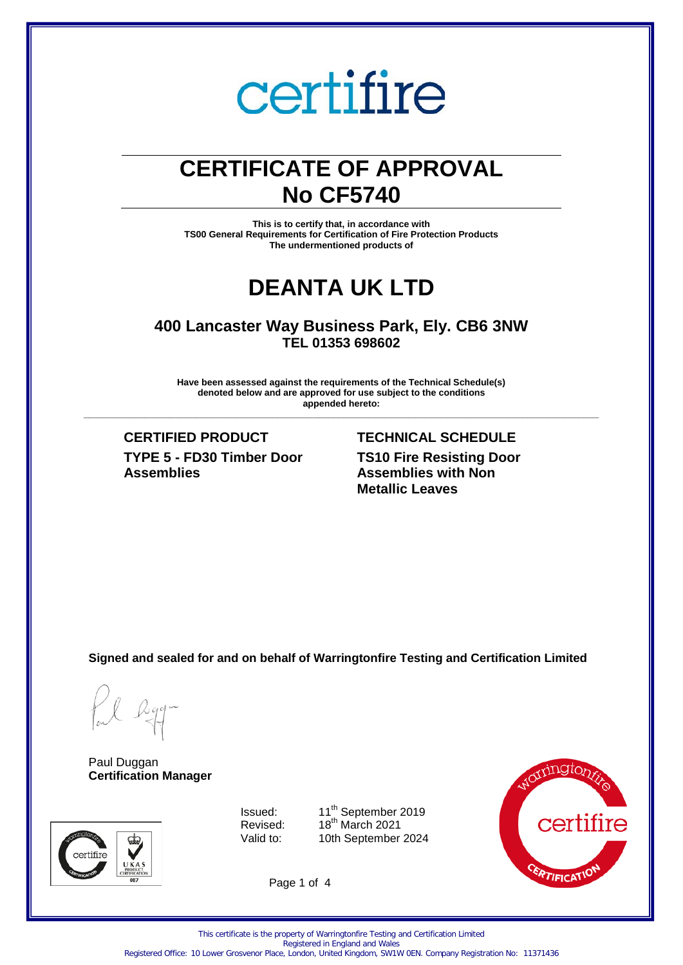# certifire

# **CERTIFICATE OF APPROVAL No CF5740**

**This is to certify that, in accordance with TS00 General Requirements for Certification of Fire Protection Products The undermentioned products of** 

# **DEANTA UK LTD**

**400 Lancaster Way Business Park, Ely. CB6 3NW TEL 01353 698602** 

**Have been assessed against the requirements of the Technical Schedule(s) denoted below and are approved for use subject to the conditions appended hereto:** 

**\_\_\_\_\_\_\_\_\_\_\_\_\_\_\_\_\_\_\_\_\_\_\_\_\_\_\_\_\_\_\_\_\_\_\_\_\_\_\_\_\_\_\_\_\_\_\_\_\_\_\_\_\_\_\_\_\_\_\_\_\_\_\_\_\_\_\_\_\_\_\_\_\_\_\_\_\_\_\_\_\_\_\_\_\_\_\_\_\_\_\_\_\_\_\_\_\_\_\_\_\_**

**CERTIFIED PRODUCT TECHNICAL SCHEDULE TYPE 5 - FD30 Timber Door Assemblies**

**TS10 Fire Resisting Door Assemblies with Non Metallic Leaves**

**Signed and sealed for and on behalf of Warringtonfire Testing and Certification Limited**

Paul Duggan **Certification Manager**



Issued:  $11^{th}$  September 2019<br>Revised:  $18^{th}$  March 2021 Revised: 18<sup>th</sup> March 2021<br>Valid to: 10th September 10th September 2024



Page 1 of 4

Registered Office: 10 Lower Grosvenor Place, London, United Kingdom, SW1W 0EN. Company Registration No: 11371436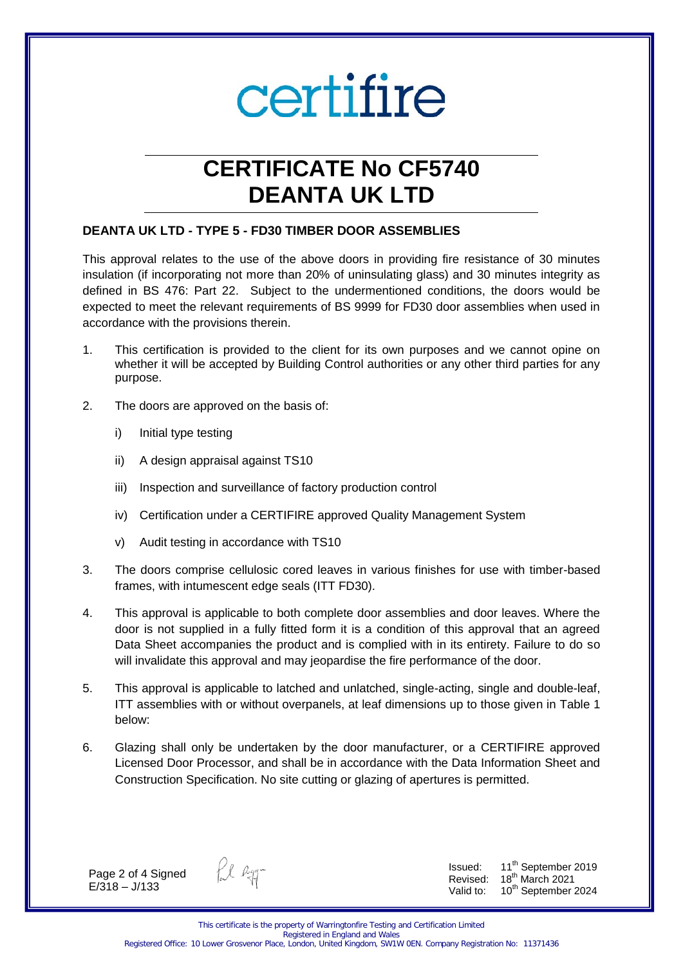

# **CERTIFICATE No CF5740 DEANTA UK LTD**

# **DEANTA UK LTD - TYPE 5 - FD30 TIMBER DOOR ASSEMBLIES**

This approval relates to the use of the above doors in providing fire resistance of 30 minutes insulation (if incorporating not more than 20% of uninsulating glass) and 30 minutes integrity as defined in BS 476: Part 22. Subject to the undermentioned conditions, the doors would be expected to meet the relevant requirements of BS 9999 for FD30 door assemblies when used in accordance with the provisions therein.

- 1. This certification is provided to the client for its own purposes and we cannot opine on whether it will be accepted by Building Control authorities or any other third parties for any purpose.
- 2. The doors are approved on the basis of:
	- i) Initial type testing
	- ii) A design appraisal against TS10
	- iii) Inspection and surveillance of factory production control
	- iv) Certification under a CERTIFIRE approved Quality Management System
	- v) Audit testing in accordance with TS10
- 3. The doors comprise cellulosic cored leaves in various finishes for use with timber-based frames, with intumescent edge seals (ITT FD30).
- 4. This approval is applicable to both complete door assemblies and door leaves. Where the door is not supplied in a fully fitted form it is a condition of this approval that an agreed Data Sheet accompanies the product and is complied with in its entirety. Failure to do so will invalidate this approval and may jeopardise the fire performance of the door.
- 5. This approval is applicable to latched and unlatched, single-acting, single and double-leaf, ITT assemblies with or without overpanels, at leaf dimensions up to those given in Table 1 below:
- 6. Glazing shall only be undertaken by the door manufacturer, or a CERTIFIRE approved Licensed Door Processor, and shall be in accordance with the Data Information Sheet and Construction Specification. No site cutting or glazing of apertures is permitted.

Page 2 of 4 Signed E/318 – J/133

fil egg-

Issued: 11<sup>th</sup> September 2019 Revised: 18<sup>th</sup> March 2021 Valid to: 10<sup>th</sup> September 2024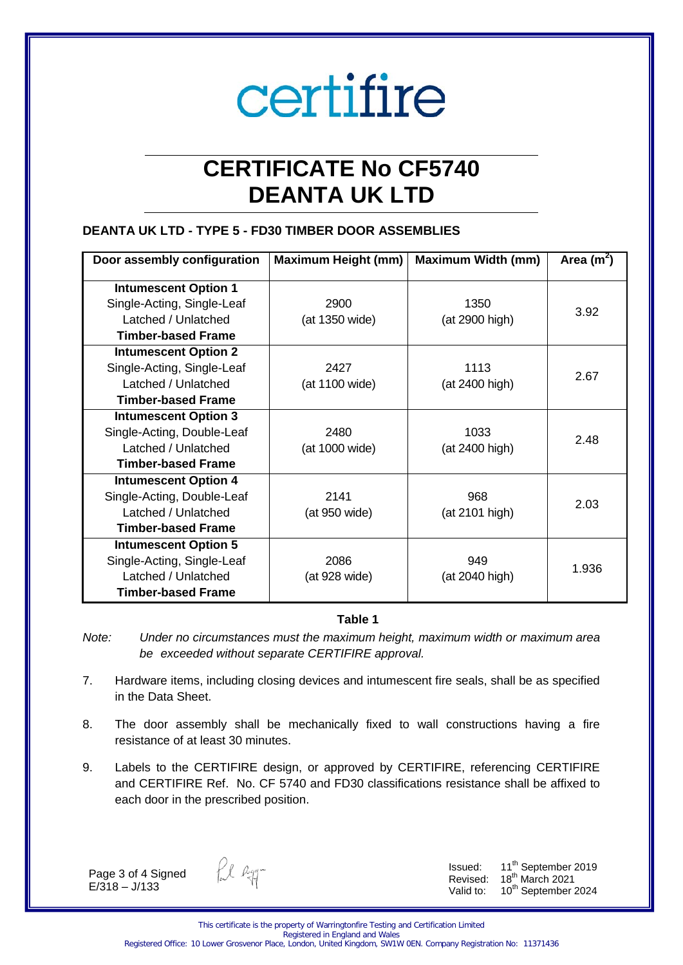# certifire

# **CERTIFICATE No CF5740 DEANTA UK LTD**

# **DEANTA UK LTD - TYPE 5 - FD30 TIMBER DOOR ASSEMBLIES**

| Door assembly configuration | <b>Maximum Height (mm)</b> | <b>Maximum Width (mm)</b> | Area $(m^2)$ |
|-----------------------------|----------------------------|---------------------------|--------------|
| <b>Intumescent Option 1</b> |                            |                           |              |
| Single-Acting, Single-Leaf  | 2900                       | 1350                      |              |
| Latched / Unlatched         | (at 1350 wide)             | (at 2900 high)            | 3.92         |
| <b>Timber-based Frame</b>   |                            |                           |              |
| <b>Intumescent Option 2</b> |                            |                           |              |
| Single-Acting, Single-Leaf  | 2427                       | 1113                      | 2.67         |
| Latched / Unlatched         | (at 1100 wide)             | (at 2400 high)            |              |
| <b>Timber-based Frame</b>   |                            |                           |              |
| <b>Intumescent Option 3</b> |                            |                           |              |
| Single-Acting, Double-Leaf  | 2480                       | 1033                      | 2.48         |
| Latched / Unlatched         | (at 1000 wide)             | (at 2400 high)            |              |
| <b>Timber-based Frame</b>   |                            |                           |              |
| <b>Intumescent Option 4</b> |                            |                           |              |
| Single-Acting, Double-Leaf  | 2141                       | 968                       | 2.03         |
| Latched / Unlatched         | (at 950 wide)              | (at 2101 high)            |              |
| <b>Timber-based Frame</b>   |                            |                           |              |
| <b>Intumescent Option 5</b> |                            |                           |              |
| Single-Acting, Single-Leaf  | 2086                       | 949                       | 1.936        |
| Latched / Unlatched         | (at 928 wide)              | (at 2040 high)            |              |
| <b>Timber-based Frame</b>   |                            |                           |              |

# **Table 1**

*Note: Under no circumstances must the maximum height, maximum width or maximum area be exceeded without separate CERTIFIRE approval.* 

- 7. Hardware items, including closing devices and intumescent fire seals, shall be as specified in the Data Sheet.
- 8. The door assembly shall be mechanically fixed to wall constructions having a fire resistance of at least 30 minutes.
- 9. Labels to the CERTIFIRE design, or approved by CERTIFIRE, referencing CERTIFIRE and CERTIFIRE Ref. No. CF 5740 and FD30 classifications resistance shall be affixed to each door in the prescribed position.

Page 3 of 4 Signed  $E/318 - J/133$ 

fil egg-

Issued:  $11^{th}$  September 2019 Revised: 18<sup>th</sup> March 2021 Valid to: 10<sup>th</sup> September 2024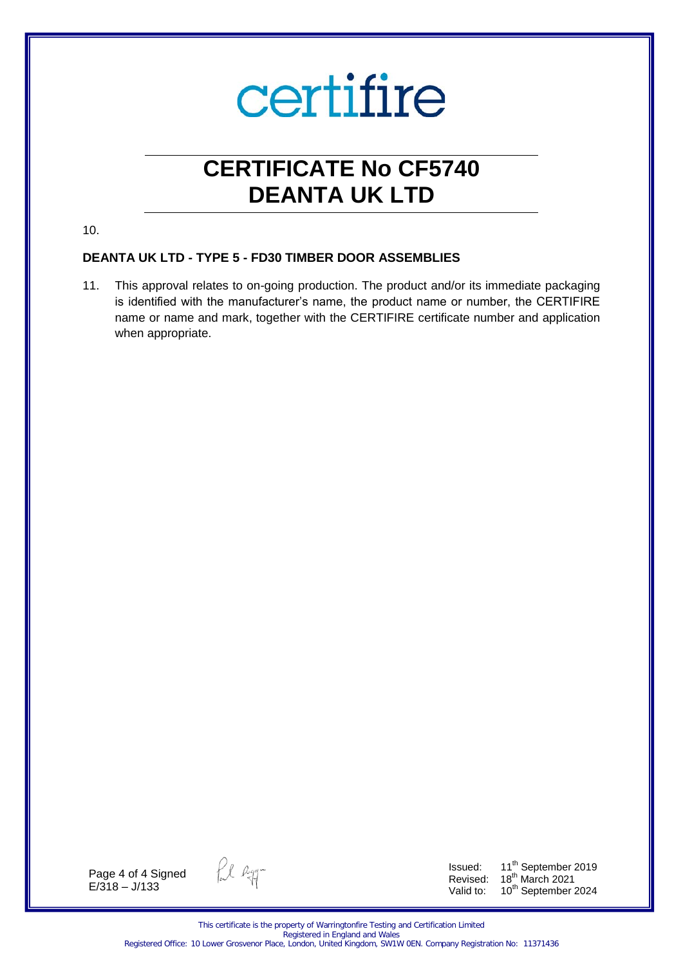

# **CERTIFICATE No CF5740 DEANTA UK LTD**

10.

# **DEANTA UK LTD - TYPE 5 - FD30 TIMBER DOOR ASSEMBLIES**

11. This approval relates to on-going production. The product and/or its immediate packaging is identified with the manufacturer's name, the product name or number, the CERTIFIRE name or name and mark, together with the CERTIFIRE certificate number and application when appropriate.

Page 4 of 4 Signed  $E/318 - J/133$ 

fil agg-

Issued: 11<sup>th</sup> September 2019 Revised:  $18<sup>th</sup>$  March 2021 Valid to: 10<sup>th</sup> September 2024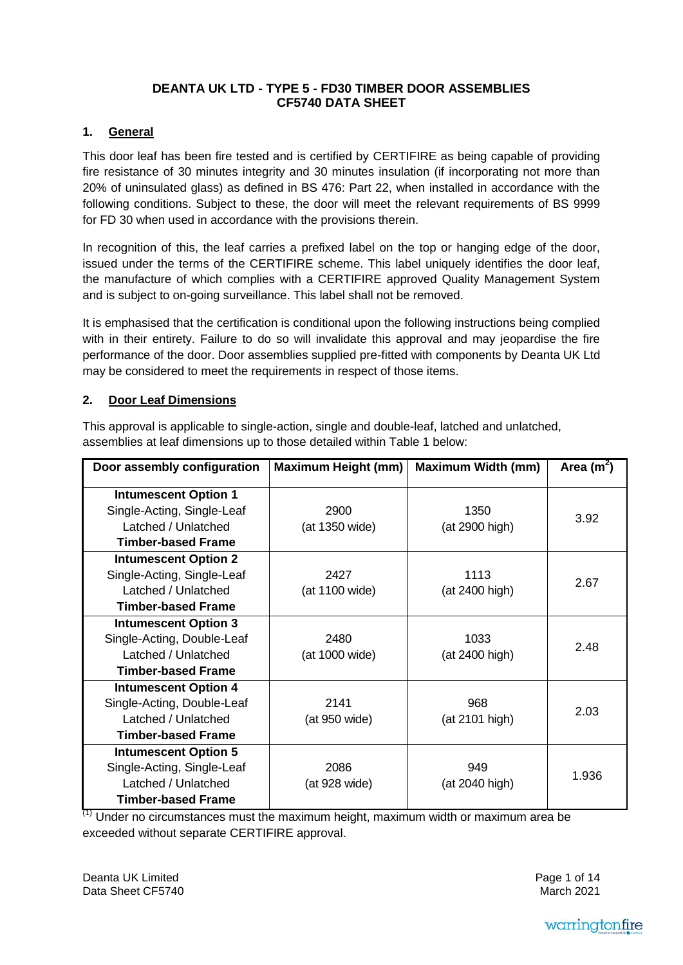# **DEANTA UK LTD - TYPE 5 - FD30 TIMBER DOOR ASSEMBLIES CF5740 DATA SHEET**

# **1. General**

This door leaf has been fire tested and is certified by CERTIFIRE as being capable of providing fire resistance of 30 minutes integrity and 30 minutes insulation (if incorporating not more than 20% of uninsulated glass) as defined in BS 476: Part 22, when installed in accordance with the following conditions. Subject to these, the door will meet the relevant requirements of BS 9999 for FD 30 when used in accordance with the provisions therein.

In recognition of this, the leaf carries a prefixed label on the top or hanging edge of the door, issued under the terms of the CERTIFIRE scheme. This label uniquely identifies the door leaf, the manufacture of which complies with a CERTIFIRE approved Quality Management System and is subject to on-going surveillance. This label shall not be removed.

It is emphasised that the certification is conditional upon the following instructions being complied with in their entirety. Failure to do so will invalidate this approval and may jeopardise the fire performance of the door. Door assemblies supplied pre-fitted with components by Deanta UK Ltd may be considered to meet the requirements in respect of those items.

## **2. Door Leaf Dimensions**

This approval is applicable to single-action, single and double-leaf, latched and unlatched, assemblies at leaf dimensions up to those detailed within Table 1 below:

| Door assembly configuration | <b>Maximum Height (mm)</b> | <b>Maximum Width (mm)</b> | Area $(m^2)$ |
|-----------------------------|----------------------------|---------------------------|--------------|
| <b>Intumescent Option 1</b> |                            |                           |              |
| Single-Acting, Single-Leaf  | 2900                       | 1350                      |              |
| Latched / Unlatched         | (at 1350 wide)             | (at 2900 high)            | 3.92         |
| <b>Timber-based Frame</b>   |                            |                           |              |
| <b>Intumescent Option 2</b> |                            |                           |              |
| Single-Acting, Single-Leaf  | 2427                       | 1113                      | 2.67         |
| Latched / Unlatched         | (at 1100 wide)             | (at 2400 high)            |              |
| <b>Timber-based Frame</b>   |                            |                           |              |
| <b>Intumescent Option 3</b> |                            |                           |              |
| Single-Acting, Double-Leaf  | 2480                       | 1033                      | 2.48         |
| Latched / Unlatched         | (at 1000 wide)             | (at 2400 high)            |              |
| <b>Timber-based Frame</b>   |                            |                           |              |
| <b>Intumescent Option 4</b> |                            |                           |              |
| Single-Acting, Double-Leaf  | 2141                       | 968                       | 2.03         |
| Latched / Unlatched         | (at 950 wide)              | (at 2101 high)            |              |
| <b>Timber-based Frame</b>   |                            |                           |              |
| <b>Intumescent Option 5</b> |                            |                           |              |
| Single-Acting, Single-Leaf  | 2086                       | 949                       | 1.936        |
| Latched / Unlatched         | (at 928 wide)              | (at 2040 high)            |              |
| <b>Timber-based Frame</b>   |                            |                           |              |

 $<sup>(1)</sup>$  Under no circumstances must the maximum height, maximum width or maximum area be</sup> exceeded without separate CERTIFIRE approval.

Deanta UK Limited Data Sheet CF5740 Page 1 of 14 March 2021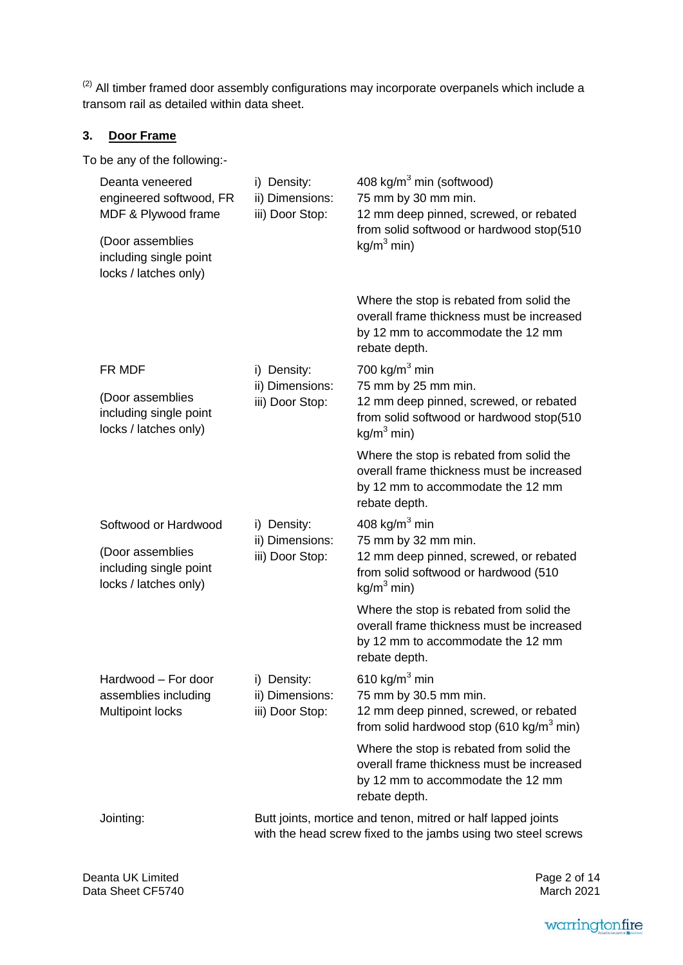$\frac{1}{2}$  $<sup>(2)</sup>$  All timber framed door assembly configurations may incorporate overpanels which include a</sup> transom rail as detailed within data sheet.

# **3. Door Frame**

To be any of the following:-

| Deanta veneered<br>engineered softwood, FR<br>MDF & Plywood frame<br>(Door assemblies<br>including single point<br>locks / latches only) | i) Density:<br>ii) Dimensions:<br>iii) Door Stop:                                                                             | 408 kg/m <sup>3</sup> min (softwood)<br>75 mm by 30 mm min.<br>12 mm deep pinned, screwed, or rebated<br>from solid softwood or hardwood stop(510<br>kg/m <sup>3</sup> min) |  |
|------------------------------------------------------------------------------------------------------------------------------------------|-------------------------------------------------------------------------------------------------------------------------------|-----------------------------------------------------------------------------------------------------------------------------------------------------------------------------|--|
|                                                                                                                                          |                                                                                                                               | Where the stop is rebated from solid the<br>overall frame thickness must be increased<br>by 12 mm to accommodate the 12 mm<br>rebate depth.                                 |  |
| FR MDF<br>(Door assemblies<br>including single point<br>locks / latches only)                                                            | i) Density:<br>ii) Dimensions:<br>iii) Door Stop:                                                                             | 700 kg/m $3$ min<br>75 mm by 25 mm min.<br>12 mm deep pinned, screwed, or rebated<br>from solid softwood or hardwood stop(510<br>$kg/m3$ min)                               |  |
|                                                                                                                                          |                                                                                                                               | Where the stop is rebated from solid the<br>overall frame thickness must be increased<br>by 12 mm to accommodate the 12 mm<br>rebate depth.                                 |  |
| Softwood or Hardwood<br>(Door assemblies<br>including single point<br>locks / latches only)                                              | i) Density:<br>ii) Dimensions:<br>iii) Door Stop:                                                                             | 408 kg/m $3$ min<br>75 mm by 32 mm min.<br>12 mm deep pinned, screwed, or rebated<br>from solid softwood or hardwood (510<br>$kg/m3$ min)                                   |  |
|                                                                                                                                          |                                                                                                                               | Where the stop is rebated from solid the<br>overall frame thickness must be increased<br>by 12 mm to accommodate the 12 mm<br>rebate depth.                                 |  |
| Hardwood - For door<br>assemblies including<br><b>Multipoint locks</b>                                                                   | i) Density:<br>ii) Dimensions:<br>iii) Door Stop:                                                                             | 610 kg/m $3$ min<br>75 mm by 30.5 mm min.<br>12 mm deep pinned, screwed, or rebated<br>from solid hardwood stop (610 kg/m <sup>3</sup> min)                                 |  |
|                                                                                                                                          |                                                                                                                               | Where the stop is rebated from solid the<br>overall frame thickness must be increased<br>by 12 mm to accommodate the 12 mm<br>rebate depth.                                 |  |
| Jointing:                                                                                                                                | Butt joints, mortice and tenon, mitred or half lapped joints<br>with the head screw fixed to the jambs using two steel screws |                                                                                                                                                                             |  |

Deanta UK Limited Data Sheet CF5740

Page 2 of 14 March 2021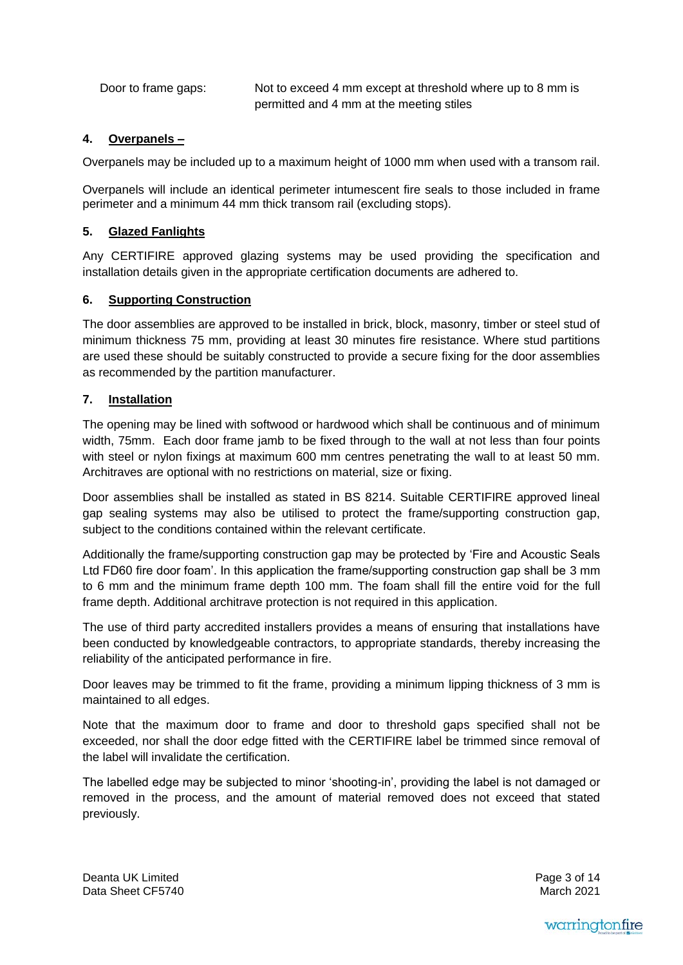Door to frame gaps: Not to exceed 4 mm except at threshold where up to 8 mm is permitted and 4 mm at the meeting stiles

# **4. Overpanels –**

Overpanels may be included up to a maximum height of 1000 mm when used with a transom rail.

Overpanels will include an identical perimeter intumescent fire seals to those included in frame perimeter and a minimum 44 mm thick transom rail (excluding stops).

# **5. Glazed Fanlights**

Any CERTIFIRE approved glazing systems may be used providing the specification and installation details given in the appropriate certification documents are adhered to.

# **6. Supporting Construction**

The door assemblies are approved to be installed in brick, block, masonry, timber or steel stud of minimum thickness 75 mm, providing at least 30 minutes fire resistance. Where stud partitions are used these should be suitably constructed to provide a secure fixing for the door assemblies as recommended by the partition manufacturer.

# **7. Installation**

The opening may be lined with softwood or hardwood which shall be continuous and of minimum width, 75mm. Each door frame jamb to be fixed through to the wall at not less than four points with steel or nylon fixings at maximum 600 mm centres penetrating the wall to at least 50 mm. Architraves are optional with no restrictions on material, size or fixing.

Door assemblies shall be installed as stated in BS 8214. Suitable CERTIFIRE approved lineal gap sealing systems may also be utilised to protect the frame/supporting construction gap, subject to the conditions contained within the relevant certificate.

Additionally the frame/supporting construction gap may be protected by 'Fire and Acoustic Seals Ltd FD60 fire door foam'. In this application the frame/supporting construction gap shall be 3 mm to 6 mm and the minimum frame depth 100 mm. The foam shall fill the entire void for the full frame depth. Additional architrave protection is not required in this application.

The use of third party accredited installers provides a means of ensuring that installations have been conducted by knowledgeable contractors, to appropriate standards, thereby increasing the reliability of the anticipated performance in fire.

Door leaves may be trimmed to fit the frame, providing a minimum lipping thickness of 3 mm is maintained to all edges.

Note that the maximum door to frame and door to threshold gaps specified shall not be exceeded, nor shall the door edge fitted with the CERTIFIRE label be trimmed since removal of the label will invalidate the certification.

The labelled edge may be subjected to minor 'shooting-in', providing the label is not damaged or removed in the process, and the amount of material removed does not exceed that stated previously.

Deanta UK Limited Data Sheet CF5740 Page 3 of 14 March 2021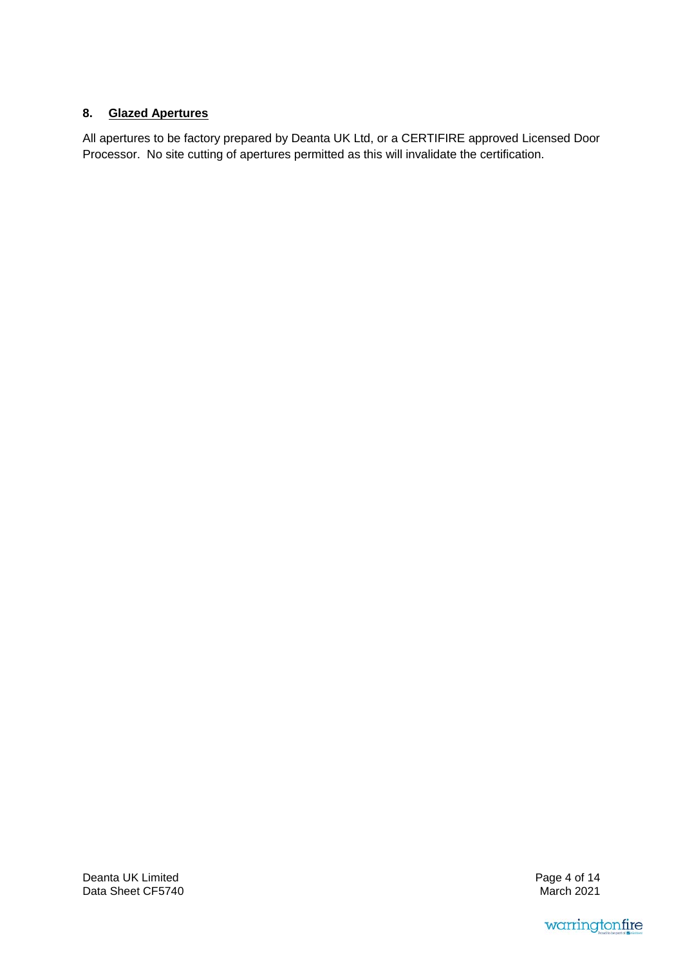# **8. Glazed Apertures**

All apertures to be factory prepared by Deanta UK Ltd, or a CERTIFIRE approved Licensed Door Processor. No site cutting of apertures permitted as this will invalidate the certification.

Deanta UK Limited Data Sheet CF5740 Page 4 of 14 March 2021

warringtonfire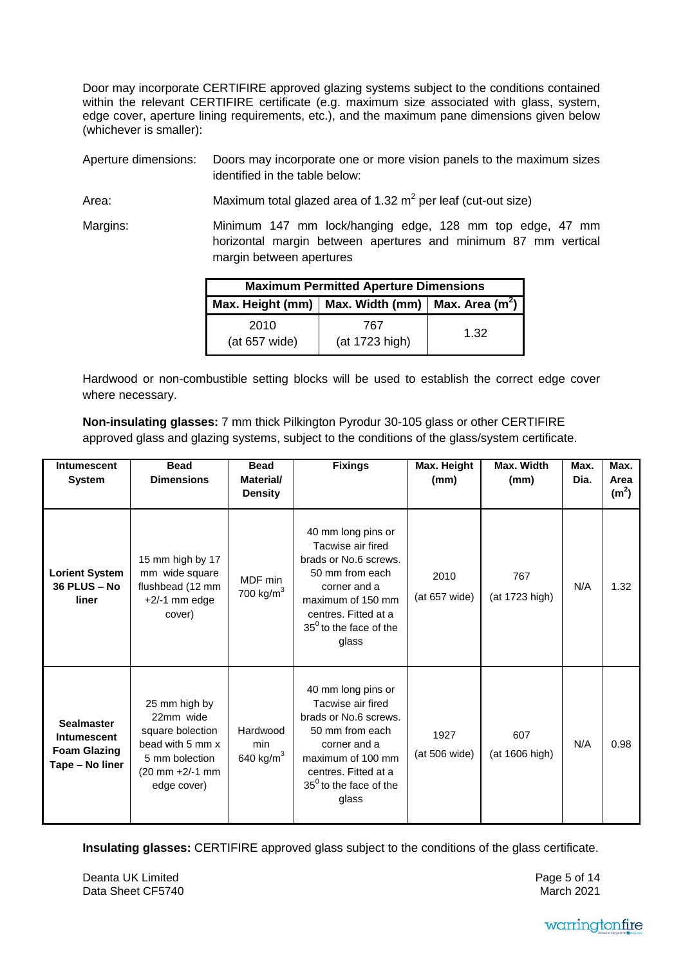Door may incorporate CERTIFIRE approved glazing systems subject to the conditions contained within the relevant CERTIFIRE certificate (e.g. maximum size associated with glass, system, edge cover, aperture lining requirements, etc.), and the maximum pane dimensions given below (whichever is smaller):

Aperture dimensions: Doors may incorporate one or more vision panels to the maximum sizes identified in the table below:

Area: Maximum total glazed area of 1.32  $m^2$  per leaf (cut-out size)

Margins: Minimum 147 mm lock/hanging edge, 128 mm top edge, 47 mm horizontal margin between apertures and minimum 87 mm vertical margin between apertures

| <b>Maximum Permitted Aperture Dimensions</b>                     |                       |      |  |
|------------------------------------------------------------------|-----------------------|------|--|
| Max. Height (mm)   Max. Width (mm)   Max. Area (m <sup>2</sup> ) |                       |      |  |
| 2010<br>(at 657 wide)                                            | 767<br>(at 1723 high) | 1.32 |  |

Hardwood or non-combustible setting blocks will be used to establish the correct edge cover where necessary.

**Non-insulating glasses:** 7 mm thick Pilkington Pyrodur 30-105 glass or other CERTIFIRE approved glass and glazing systems, subject to the conditions of the glass/system certificate.

| <b>Intumescent</b><br><b>System</b>                                               | <b>Bead</b><br><b>Dimensions</b>                                                                                                             | <b>Bead</b><br>Material/<br><b>Density</b> | <b>Fixings</b>                                                                                                                                                                               | Max. Height<br>(mm)   | Max. Width<br>(mm)    | Max.<br>Dia. | Max.<br>Area<br>(m <sup>2</sup> ) |
|-----------------------------------------------------------------------------------|----------------------------------------------------------------------------------------------------------------------------------------------|--------------------------------------------|----------------------------------------------------------------------------------------------------------------------------------------------------------------------------------------------|-----------------------|-----------------------|--------------|-----------------------------------|
| <b>Lorient System</b><br>36 PLUS - No<br>liner                                    | 15 mm high by 17<br>mm wide square<br>flushbead (12 mm<br>$+2/-1$ mm edge<br>cover)                                                          | MDF min<br>700 kg/ $m3$                    | 40 mm long pins or<br>Tacwise air fired<br>brads or No.6 screws.<br>50 mm from each<br>corner and a<br>maximum of 150 mm<br>centres. Fitted at a<br>$35^0$ to the face of the<br>glass       | 2010<br>(at 657 wide) | 767<br>(at 1723 high) | N/A          | 1.32                              |
| <b>Sealmaster</b><br><b>Intumescent</b><br><b>Foam Glazing</b><br>Tape - No liner | 25 mm high by<br>22mm wide<br>square bolection<br>bead with 5 mm x<br>5 mm bolection<br>$(20 \text{ mm} + 2/ - 1 \text{ mm})$<br>edge cover) | Hardwood<br>min<br>640 kg/ $m3$            | 40 mm long pins or<br>Tacwise air fired<br>brads or No.6 screws.<br>50 mm from each<br>corner and a<br>maximum of 100 mm<br>centres. Fitted at a<br>$35^{\circ}$ to the face of the<br>glass | 1927<br>(at 506 wide) | 607<br>(at 1606 high) | N/A          | 0.98                              |

**Insulating glasses:** CERTIFIRE approved glass subject to the conditions of the glass certificate.

Deanta UK Limited Data Sheet CF5740 Page 5 of 14 March 2021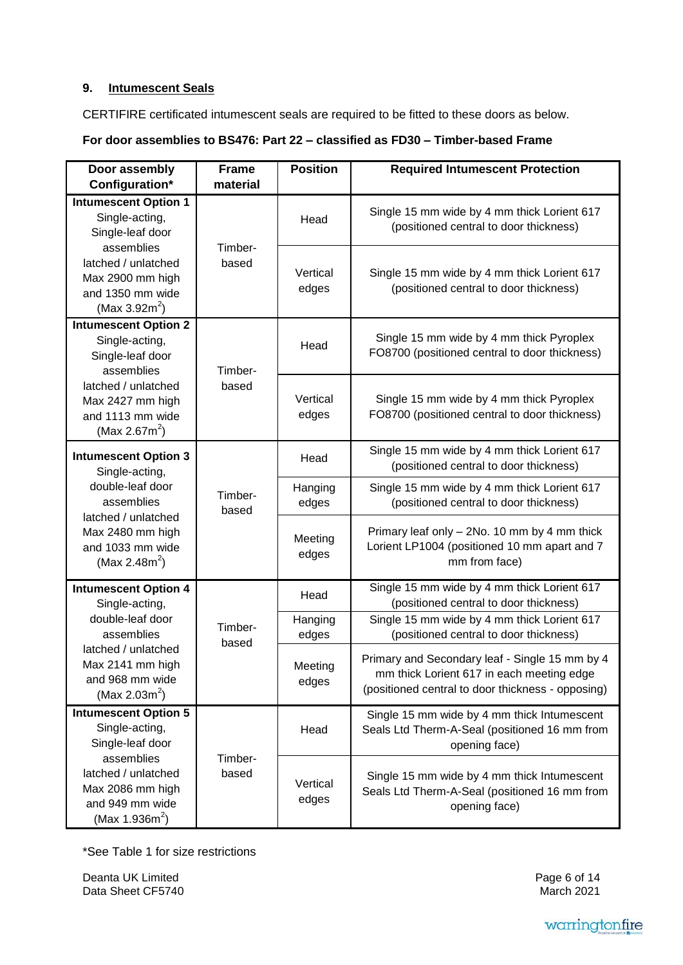# **9. Intumescent Seals**

CERTIFIRE certificated intumescent seals are required to be fitted to these doors as below.

# **For door assemblies to BS476: Part 22 – classified as FD30 – Timber-based Frame**

| Door assembly<br>Configuration*                                                                                    | <b>Frame</b><br>material | <b>Position</b>   | <b>Required Intumescent Protection</b>                                                                                                           |
|--------------------------------------------------------------------------------------------------------------------|--------------------------|-------------------|--------------------------------------------------------------------------------------------------------------------------------------------------|
| <b>Intumescent Option 1</b>                                                                                        |                          |                   | Single 15 mm wide by 4 mm thick Lorient 617                                                                                                      |
| Single-acting,<br>Single-leaf door                                                                                 |                          | Head              | (positioned central to door thickness)                                                                                                           |
| assemblies<br>latched / unlatched<br>Max 2900 mm high<br>and 1350 mm wide<br>(Max $3.92m^2$ )                      | Timber-<br>based         | Vertical<br>edges | Single 15 mm wide by 4 mm thick Lorient 617<br>(positioned central to door thickness)                                                            |
| <b>Intumescent Option 2</b><br>Single-acting,<br>Single-leaf door<br>assemblies                                    | Timber-                  | Head              | Single 15 mm wide by 4 mm thick Pyroplex<br>FO8700 (positioned central to door thickness)                                                        |
| latched / unlatched<br>Max 2427 mm high<br>and 1113 mm wide<br>(Max 2.67 $m^2$ )                                   | based                    | Vertical<br>edges | Single 15 mm wide by 4 mm thick Pyroplex<br>FO8700 (positioned central to door thickness)                                                        |
| <b>Intumescent Option 3</b><br>Single-acting,                                                                      |                          | Head              | Single 15 mm wide by 4 mm thick Lorient 617<br>(positioned central to door thickness)                                                            |
| double-leaf door<br>assemblies<br>latched / unlatched<br>Max 2480 mm high<br>and 1033 mm wide<br>(Max 2.48 $m^2$ ) | Timber-<br>based         | Hanging<br>edges  | Single 15 mm wide by 4 mm thick Lorient 617<br>(positioned central to door thickness)                                                            |
|                                                                                                                    |                          | Meeting<br>edges  | Primary leaf only - 2No. 10 mm by 4 mm thick<br>Lorient LP1004 (positioned 10 mm apart and 7<br>mm from face)                                    |
| <b>Intumescent Option 4</b><br>Single-acting,                                                                      |                          | Head              | Single 15 mm wide by 4 mm thick Lorient 617<br>(positioned central to door thickness)                                                            |
| double-leaf door<br>assemblies                                                                                     | Timber-<br>based         | Hanging<br>edges  | Single 15 mm wide by 4 mm thick Lorient 617<br>(positioned central to door thickness)                                                            |
| latched / unlatched<br>Max 2141 mm high<br>and 968 mm wide<br>(Max 2.03 $m^2$ )                                    |                          | Meeting<br>edges  | Primary and Secondary leaf - Single 15 mm by 4<br>mm thick Lorient 617 in each meeting edge<br>(positioned central to door thickness - opposing) |
| <b>Intumescent Option 5</b><br>Single-acting,<br>Single-leaf door                                                  |                          | Head              | Single 15 mm wide by 4 mm thick Intumescent<br>Seals Ltd Therm-A-Seal (positioned 16 mm from<br>opening face)                                    |
| assemblies<br>latched / unlatched<br>Max 2086 mm high<br>and 949 mm wide<br>(Max 1.936 $m^2$ )                     | Timber-<br>based         | Vertical<br>edges | Single 15 mm wide by 4 mm thick Intumescent<br>Seals Ltd Therm-A-Seal (positioned 16 mm from<br>opening face)                                    |

\*See Table 1 for size restrictions

Deanta UK Limited Data Sheet CF5740 Page 6 of 14 March 2021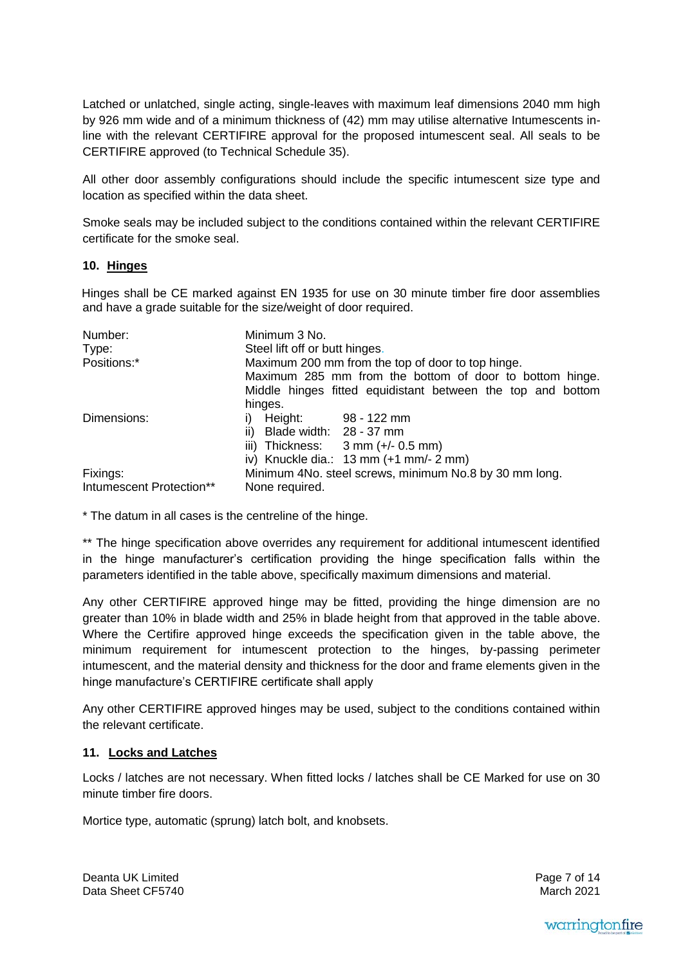Latched or unlatched, single acting, single-leaves with maximum leaf dimensions 2040 mm high by 926 mm wide and of a minimum thickness of (42) mm may utilise alternative Intumescents inline with the relevant CERTIFIRE approval for the proposed intumescent seal. All seals to be CERTIFIRE approved (to Technical Schedule 35).

All other door assembly configurations should include the specific intumescent size type and location as specified within the data sheet.

Smoke seals may be included subject to the conditions contained within the relevant CERTIFIRE certificate for the smoke seal.

## **10. Hinges**

Hinges shall be CE marked against EN 1935 for use on 30 minute timber fire door assemblies and have a grade suitable for the size/weight of door required.

| Number:                  | Minimum 3 No.                                                    |  |  |
|--------------------------|------------------------------------------------------------------|--|--|
| Type:                    | Steel lift off or butt hinges.                                   |  |  |
| Positions:*              | Maximum 200 mm from the top of door to top hinge.                |  |  |
|                          | Maximum 285 mm from the bottom of door to bottom hinge.          |  |  |
|                          | Middle hinges fitted equidistant between the top and bottom      |  |  |
|                          | hinges.                                                          |  |  |
| Dimensions:              | Height: 98 - 122 mm<br>i).                                       |  |  |
|                          | Blade width: 28 - 37 mm<br>ii)                                   |  |  |
|                          | iii) Thickness: $3 \text{ mm } (+/- 0.5 \text{ mm})$             |  |  |
|                          | iv) Knuckle dia.: $13 \text{ mm} (+1 \text{ mm} - 2 \text{ mm})$ |  |  |
| Fixings:                 | Minimum 4No. steel screws, minimum No.8 by 30 mm long.           |  |  |
| Intumescent Protection** | None required.                                                   |  |  |

\* The datum in all cases is the centreline of the hinge.

\*\* The hinge specification above overrides any requirement for additional intumescent identified in the hinge manufacturer's certification providing the hinge specification falls within the parameters identified in the table above, specifically maximum dimensions and material.

Any other CERTIFIRE approved hinge may be fitted, providing the hinge dimension are no greater than 10% in blade width and 25% in blade height from that approved in the table above. Where the Certifire approved hinge exceeds the specification given in the table above, the minimum requirement for intumescent protection to the hinges, by-passing perimeter intumescent, and the material density and thickness for the door and frame elements given in the hinge manufacture's CERTIFIRE certificate shall apply

Any other CERTIFIRE approved hinges may be used, subject to the conditions contained within the relevant certificate.

## **11. Locks and Latches**

Locks / latches are not necessary. When fitted locks / latches shall be CE Marked for use on 30 minute timber fire doors.

Mortice type, automatic (sprung) latch bolt, and knobsets.

Deanta UK Limited Data Sheet CF5740 Page 7 of 14 March 2021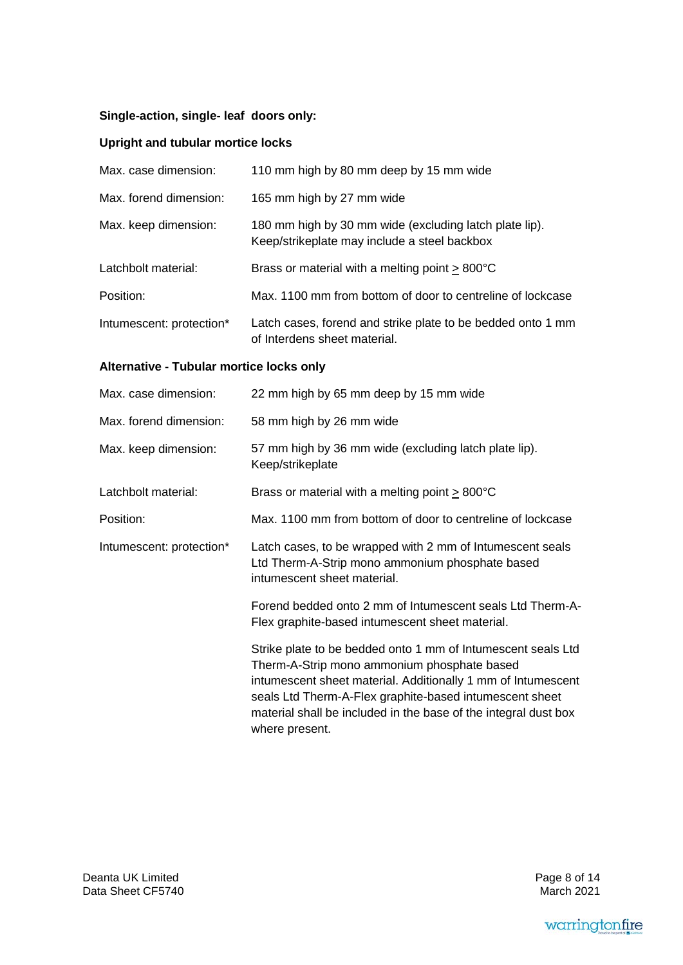# **Single-action, single- leaf doors only:**

# **Upright and tubular mortice locks**

| Max. case dimension:     | 110 mm high by 80 mm deep by 15 mm wide                                                                |
|--------------------------|--------------------------------------------------------------------------------------------------------|
| Max. forend dimension:   | 165 mm high by 27 mm wide                                                                              |
| Max. keep dimension:     | 180 mm high by 30 mm wide (excluding latch plate lip).<br>Keep/strikeplate may include a steel backbox |
| Latchbolt material:      | Brass or material with a melting point $> 800^{\circ}$ C                                               |
| Position:                | Max. 1100 mm from bottom of door to centreline of lockcase                                             |
| Intumescent: protection* | Latch cases, forend and strike plate to be bedded onto 1 mm<br>of Interdens sheet material.            |

# **Alternative - Tubular mortice locks only**

| Max. case dimension:     | 22 mm high by 65 mm deep by 15 mm wide                                                                                                                                                                                                                                                                                      |
|--------------------------|-----------------------------------------------------------------------------------------------------------------------------------------------------------------------------------------------------------------------------------------------------------------------------------------------------------------------------|
| Max. forend dimension:   | 58 mm high by 26 mm wide                                                                                                                                                                                                                                                                                                    |
| Max. keep dimension:     | 57 mm high by 36 mm wide (excluding latch plate lip).<br>Keep/strikeplate                                                                                                                                                                                                                                                   |
| Latchbolt material:      | Brass or material with a melting point $\geq 800^{\circ}$ C                                                                                                                                                                                                                                                                 |
| Position:                | Max. 1100 mm from bottom of door to centreline of lockcase                                                                                                                                                                                                                                                                  |
| Intumescent: protection* | Latch cases, to be wrapped with 2 mm of Intumescent seals<br>Ltd Therm-A-Strip mono ammonium phosphate based<br>intumescent sheet material.                                                                                                                                                                                 |
|                          | Forend bedded onto 2 mm of Intumescent seals Ltd Therm-A-<br>Flex graphite-based intumescent sheet material.                                                                                                                                                                                                                |
|                          | Strike plate to be bedded onto 1 mm of Intumescent seals Ltd<br>Therm-A-Strip mono ammonium phosphate based<br>intumescent sheet material. Additionally 1 mm of Intumescent<br>seals Ltd Therm-A-Flex graphite-based intumescent sheet<br>material shall be included in the base of the integral dust box<br>where present. |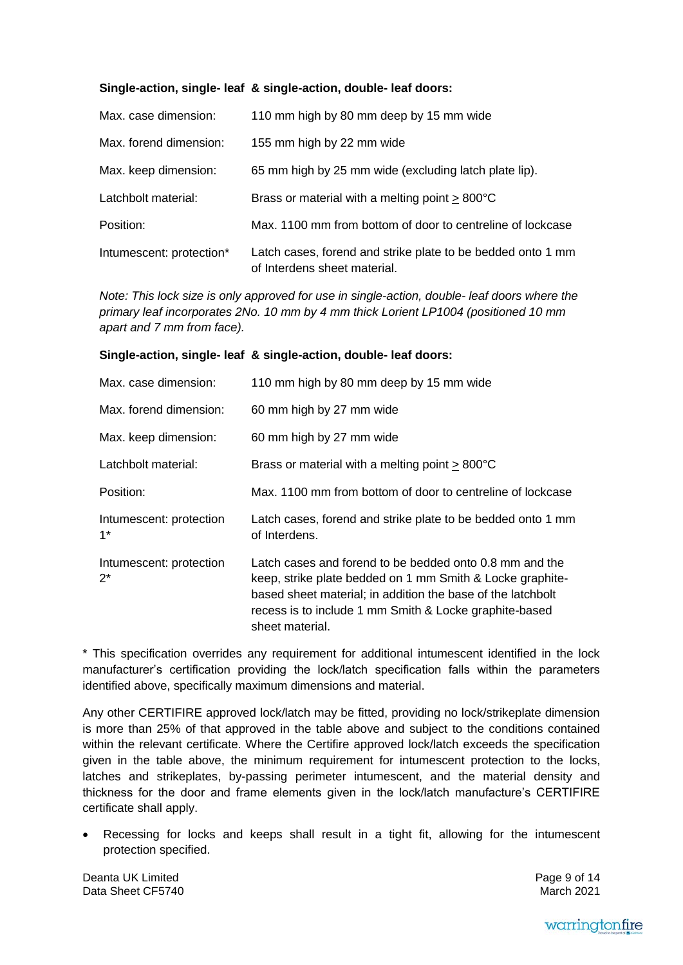## **Single-action, single- leaf & single-action, double- leaf doors:**

| Max. case dimension:     | 110 mm high by 80 mm deep by 15 mm wide                                                     |
|--------------------------|---------------------------------------------------------------------------------------------|
| Max. forend dimension:   | 155 mm high by 22 mm wide                                                                   |
| Max. keep dimension:     | 65 mm high by 25 mm wide (excluding latch plate lip).                                       |
| Latchbolt material:      | Brass or material with a melting point $> 800^{\circ}$ C                                    |
| Position:                | Max. 1100 mm from bottom of door to centreline of lockcase                                  |
| Intumescent: protection* | Latch cases, forend and strike plate to be bedded onto 1 mm<br>of Interdens sheet material. |

*Note: This lock size is only approved for use in single-action, double- leaf doors where the primary leaf incorporates 2No. 10 mm by 4 mm thick Lorient LP1004 (positioned 10 mm apart and 7 mm from face).*

#### **Single-action, single- leaf & single-action, double- leaf doors:**

| Max. case dimension:             | 110 mm high by 80 mm deep by 15 mm wide                                                                                                                                                                                                                          |
|----------------------------------|------------------------------------------------------------------------------------------------------------------------------------------------------------------------------------------------------------------------------------------------------------------|
| Max. forend dimension:           | 60 mm high by 27 mm wide                                                                                                                                                                                                                                         |
| Max. keep dimension:             | 60 mm high by 27 mm wide                                                                                                                                                                                                                                         |
| Latchbolt material:              | Brass or material with a melting point $> 800^{\circ}$ C                                                                                                                                                                                                         |
| Position:                        | Max. 1100 mm from bottom of door to centreline of lockcase                                                                                                                                                                                                       |
| Intumescent: protection<br>$1^*$ | Latch cases, forend and strike plate to be bedded onto 1 mm<br>of Interdens.                                                                                                                                                                                     |
| Intumescent: protection<br>$2^*$ | Latch cases and forend to be bedded onto 0.8 mm and the<br>keep, strike plate bedded on 1 mm Smith & Locke graphite-<br>based sheet material; in addition the base of the latchbolt<br>recess is to include 1 mm Smith & Locke graphite-based<br>sheet material. |

\* This specification overrides any requirement for additional intumescent identified in the lock manufacturer's certification providing the lock/latch specification falls within the parameters identified above, specifically maximum dimensions and material.

Any other CERTIFIRE approved lock/latch may be fitted, providing no lock/strikeplate dimension is more than 25% of that approved in the table above and subject to the conditions contained within the relevant certificate. Where the Certifire approved lock/latch exceeds the specification given in the table above, the minimum requirement for intumescent protection to the locks, latches and strikeplates, by-passing perimeter intumescent, and the material density and thickness for the door and frame elements given in the lock/latch manufacture's CERTIFIRE certificate shall apply.

 Recessing for locks and keeps shall result in a tight fit, allowing for the intumescent protection specified.

Deanta UK Limited Data Sheet CF5740 Page 9 of 14 March 2021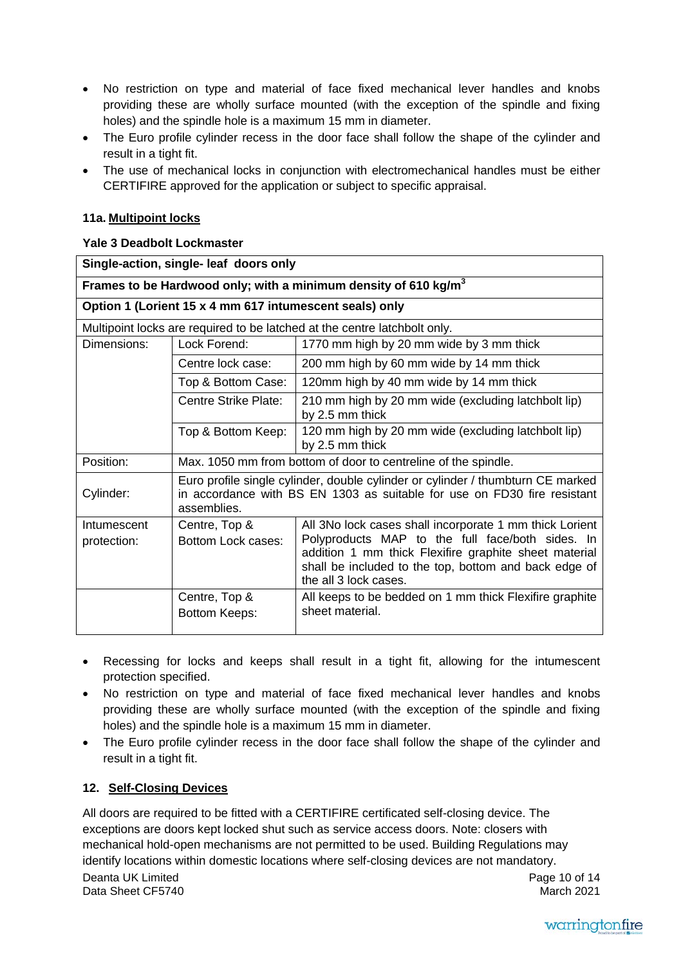- No restriction on type and material of face fixed mechanical lever handles and knobs providing these are wholly surface mounted (with the exception of the spindle and fixing holes) and the spindle hole is a maximum 15 mm in diameter.
- The Euro profile cylinder recess in the door face shall follow the shape of the cylinder and result in a tight fit.
- The use of mechanical locks in conjunction with electromechanical handles must be either CERTIFIRE approved for the application or subject to specific appraisal.

# **11a. Multipoint locks**

# **Yale 3 Deadbolt Lockmaster**

|                            | Single-action, single- leaf doors only                                                                                                                                     |                                                                                                                                                                                                                                                        |  |  |
|----------------------------|----------------------------------------------------------------------------------------------------------------------------------------------------------------------------|--------------------------------------------------------------------------------------------------------------------------------------------------------------------------------------------------------------------------------------------------------|--|--|
|                            |                                                                                                                                                                            | Frames to be Hardwood only; with a minimum density of 610 kg/m <sup>3</sup>                                                                                                                                                                            |  |  |
|                            | Option 1 (Lorient 15 x 4 mm 617 intumescent seals) only                                                                                                                    |                                                                                                                                                                                                                                                        |  |  |
|                            |                                                                                                                                                                            | Multipoint locks are required to be latched at the centre latchbolt only.                                                                                                                                                                              |  |  |
| Dimensions:                | Lock Forend:                                                                                                                                                               | 1770 mm high by 20 mm wide by 3 mm thick                                                                                                                                                                                                               |  |  |
|                            | Centre lock case:                                                                                                                                                          | 200 mm high by 60 mm wide by 14 mm thick                                                                                                                                                                                                               |  |  |
|                            | Top & Bottom Case:                                                                                                                                                         | 120mm high by 40 mm wide by 14 mm thick                                                                                                                                                                                                                |  |  |
|                            | Centre Strike Plate:                                                                                                                                                       | 210 mm high by 20 mm wide (excluding latchbolt lip)<br>by 2.5 mm thick                                                                                                                                                                                 |  |  |
|                            | Top & Bottom Keep:                                                                                                                                                         | 120 mm high by 20 mm wide (excluding latchbolt lip)<br>by 2.5 mm thick                                                                                                                                                                                 |  |  |
| Position:                  | Max. 1050 mm from bottom of door to centreline of the spindle.                                                                                                             |                                                                                                                                                                                                                                                        |  |  |
| Cylinder:                  | Euro profile single cylinder, double cylinder or cylinder / thumbturn CE marked<br>in accordance with BS EN 1303 as suitable for use on FD30 fire resistant<br>assemblies. |                                                                                                                                                                                                                                                        |  |  |
| Intumescent<br>protection: | Centre, Top &<br>Bottom Lock cases:                                                                                                                                        | All 3No lock cases shall incorporate 1 mm thick Lorient<br>Polyproducts MAP to the full face/both sides. In<br>addition 1 mm thick Flexifire graphite sheet material<br>shall be included to the top, bottom and back edge of<br>the all 3 lock cases. |  |  |
|                            | Centre, Top &<br><b>Bottom Keeps:</b>                                                                                                                                      | All keeps to be bedded on 1 mm thick Flexifire graphite<br>sheet material.                                                                                                                                                                             |  |  |

- Recessing for locks and keeps shall result in a tight fit, allowing for the intumescent protection specified.
- No restriction on type and material of face fixed mechanical lever handles and knobs providing these are wholly surface mounted (with the exception of the spindle and fixing holes) and the spindle hole is a maximum 15 mm in diameter.
- The Euro profile cylinder recess in the door face shall follow the shape of the cylinder and result in a tight fit.

# **12. Self-Closing Devices**

Deanta UK Limited Data Sheet CF5740 Page 10 of 14 March 2021 All doors are required to be fitted with a CERTIFIRE certificated self-closing device. The exceptions are doors kept locked shut such as service access doors. Note: closers with mechanical hold-open mechanisms are not permitted to be used. Building Regulations may identify locations within domestic locations where self-closing devices are not mandatory.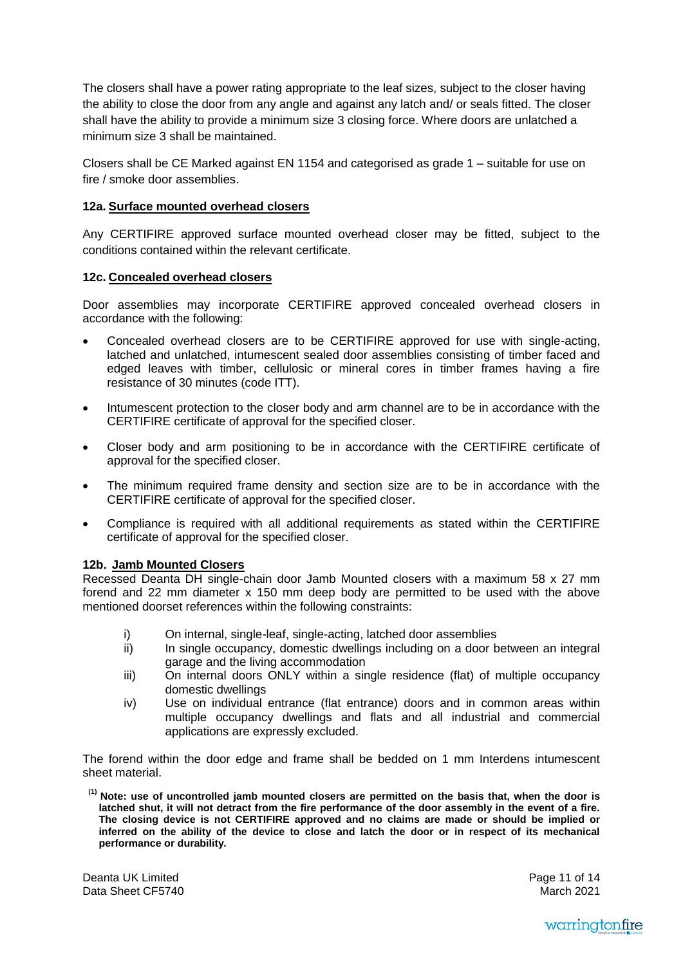The closers shall have a power rating appropriate to the leaf sizes, subject to the closer having the ability to close the door from any angle and against any latch and/ or seals fitted. The closer shall have the ability to provide a minimum size 3 closing force. Where doors are unlatched a minimum size 3 shall be maintained.

Closers shall be CE Marked against EN 1154 and categorised as grade 1 – suitable for use on fire / smoke door assemblies.

#### **12a. Surface mounted overhead closers**

Any CERTIFIRE approved surface mounted overhead closer may be fitted, subject to the conditions contained within the relevant certificate.

#### **12c. Concealed overhead closers**

Door assemblies may incorporate CERTIFIRE approved concealed overhead closers in accordance with the following:

- Concealed overhead closers are to be CERTIFIRE approved for use with single-acting, latched and unlatched, intumescent sealed door assemblies consisting of timber faced and edged leaves with timber, cellulosic or mineral cores in timber frames having a fire resistance of 30 minutes (code ITT).
- Intumescent protection to the closer body and arm channel are to be in accordance with the CERTIFIRE certificate of approval for the specified closer.
- Closer body and arm positioning to be in accordance with the CERTIFIRE certificate of approval for the specified closer.
- The minimum required frame density and section size are to be in accordance with the CERTIFIRE certificate of approval for the specified closer.
- Compliance is required with all additional requirements as stated within the CERTIFIRE certificate of approval for the specified closer.

## **12b. Jamb Mounted Closers**

Recessed Deanta DH single-chain door Jamb Mounted closers with a maximum 58 x 27 mm forend and 22 mm diameter x 150 mm deep body are permitted to be used with the above mentioned doorset references within the following constraints:

- i) On internal, single-leaf, single-acting, latched door assemblies<br>ii) In single occupancy, domestic dwellings including on a door b
- In single occupancy, domestic dwellings including on a door between an integral garage and the living accommodation
- iii) On internal doors ONLY within a single residence (flat) of multiple occupancy domestic dwellings
- iv) Use on individual entrance (flat entrance) doors and in common areas within multiple occupancy dwellings and flats and all industrial and commercial applications are expressly excluded.

The forend within the door edge and frame shall be bedded on 1 mm Interdens intumescent sheet material.

**(1) Note: use of uncontrolled jamb mounted closers are permitted on the basis that, when the door is latched shut, it will not detract from the fire performance of the door assembly in the event of a fire. The closing device is not CERTIFIRE approved and no claims are made or should be implied or inferred on the ability of the device to close and latch the door or in respect of its mechanical performance or durability.** 

Deanta UK Limited Data Sheet CF5740 Page 11 of 14 March 2021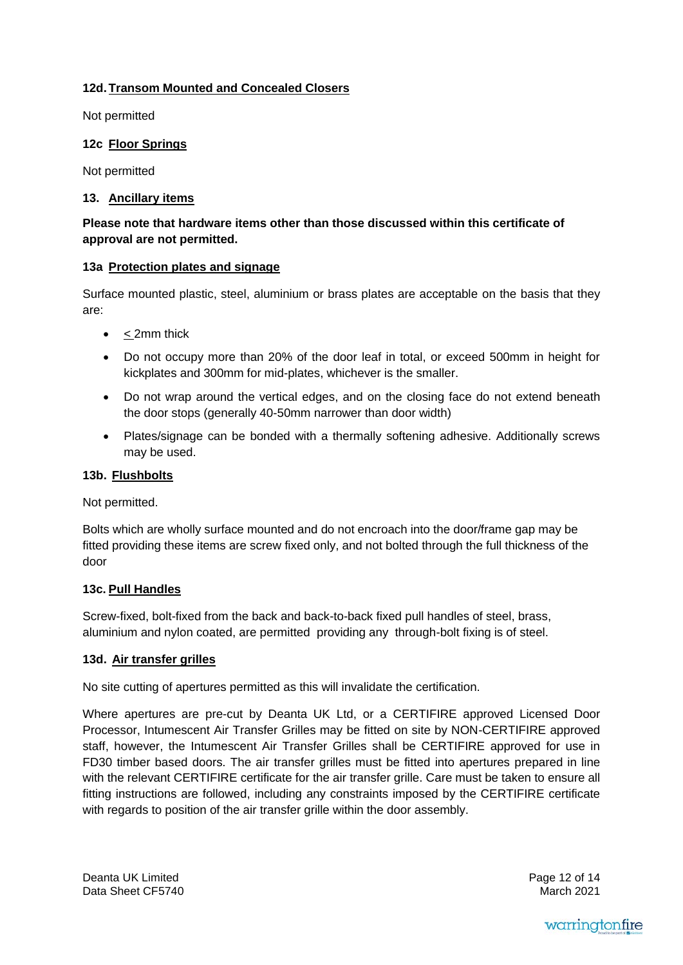# **12d. Transom Mounted and Concealed Closers**

Not permitted

# **12c Floor Springs**

Not permitted

# **13. Ancillary items**

# **Please note that hardware items other than those discussed within this certificate of approval are not permitted.**

# **13a Protection plates and signage**

Surface mounted plastic, steel, aluminium or brass plates are acceptable on the basis that they are:

- $\bullet$  < 2mm thick
- Do not occupy more than 20% of the door leaf in total, or exceed 500mm in height for kickplates and 300mm for mid-plates, whichever is the smaller.
- Do not wrap around the vertical edges, and on the closing face do not extend beneath the door stops (generally 40-50mm narrower than door width)
- Plates/signage can be bonded with a thermally softening adhesive. Additionally screws may be used.

## **13b. Flushbolts**

Not permitted.

Bolts which are wholly surface mounted and do not encroach into the door/frame gap may be fitted providing these items are screw fixed only, and not bolted through the full thickness of the door

# **13c. Pull Handles**

Screw-fixed, bolt-fixed from the back and back-to-back fixed pull handles of steel, brass, aluminium and nylon coated, are permitted providing any through-bolt fixing is of steel.

## **13d. Air transfer grilles**

No site cutting of apertures permitted as this will invalidate the certification.

Where apertures are pre-cut by Deanta UK Ltd, or a CERTIFIRE approved Licensed Door Processor, Intumescent Air Transfer Grilles may be fitted on site by NON-CERTIFIRE approved staff, however, the Intumescent Air Transfer Grilles shall be CERTIFIRE approved for use in FD30 timber based doors. The air transfer grilles must be fitted into apertures prepared in line with the relevant CERTIFIRE certificate for the air transfer grille. Care must be taken to ensure all fitting instructions are followed, including any constraints imposed by the CERTIFIRE certificate with regards to position of the air transfer grille within the door assembly.

Deanta UK Limited Data Sheet CF5740 Page 12 of 14 March 2021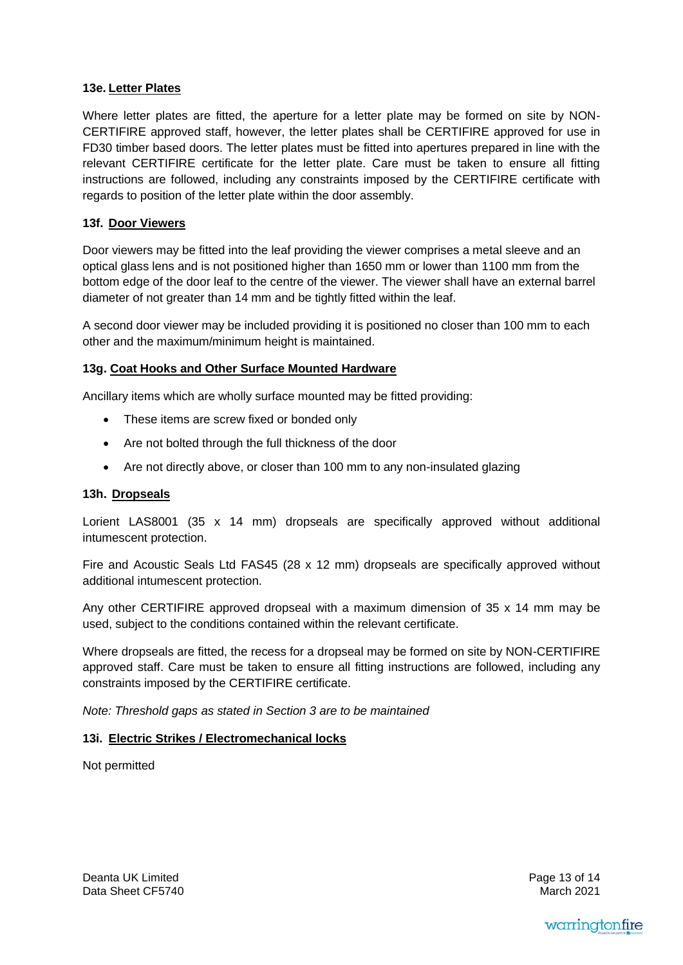# **13e. Letter Plates**

Where letter plates are fitted, the aperture for a letter plate may be formed on site by NON-CERTIFIRE approved staff, however, the letter plates shall be CERTIFIRE approved for use in FD30 timber based doors. The letter plates must be fitted into apertures prepared in line with the relevant CERTIFIRE certificate for the letter plate. Care must be taken to ensure all fitting instructions are followed, including any constraints imposed by the CERTIFIRE certificate with regards to position of the letter plate within the door assembly.

## **13f. Door Viewers**

Door viewers may be fitted into the leaf providing the viewer comprises a metal sleeve and an optical glass lens and is not positioned higher than 1650 mm or lower than 1100 mm from the bottom edge of the door leaf to the centre of the viewer. The viewer shall have an external barrel diameter of not greater than 14 mm and be tightly fitted within the leaf.

A second door viewer may be included providing it is positioned no closer than 100 mm to each other and the maximum/minimum height is maintained.

# **13g. Coat Hooks and Other Surface Mounted Hardware**

Ancillary items which are wholly surface mounted may be fitted providing:

- These items are screw fixed or bonded only
- Are not bolted through the full thickness of the door
- Are not directly above, or closer than 100 mm to any non-insulated glazing

## **13h. Dropseals**

Lorient LAS8001 (35 x 14 mm) dropseals are specifically approved without additional intumescent protection.

Fire and Acoustic Seals Ltd FAS45 (28 x 12 mm) dropseals are specifically approved without additional intumescent protection.

Any other CERTIFIRE approved dropseal with a maximum dimension of 35 x 14 mm may be used, subject to the conditions contained within the relevant certificate.

Where dropseals are fitted, the recess for a dropseal may be formed on site by NON-CERTIFIRE approved staff. Care must be taken to ensure all fitting instructions are followed, including any constraints imposed by the CERTIFIRE certificate.

*Note: Threshold gaps as stated in Section 3 are to be maintained* 

## **13i. Electric Strikes / Electromechanical locks**

Not permitted

Deanta UK Limited Data Sheet CF5740 Page 13 of 14 March 2021